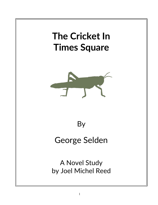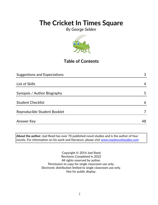*By George Selden*



### **Table of Contents**

| <b>Suggestions and Expectations</b> | 3  |
|-------------------------------------|----|
|                                     |    |
| List of Skills                      | 4  |
|                                     |    |
| Synopsis / Author Biography         | 5  |
|                                     |    |
| <b>Student Checklist</b>            | 6  |
| Reproducible Student Booklet        | 7  |
|                                     |    |
| <b>Answer Key</b>                   | 48 |

**About the author:** Joel Reed has over 70 published novel studies and is the author of four  $|$ novels. For information on his work and literature, please visit  $\overline{\text{www.reednovelstudies.com}}$ 

> Copyright © 2014 Joel Reed Revisions Completed in 2022 All rights reserved by author. Permission to copy for single classroom use only. Electronic distribution limited to single classroom use only. Not for public display.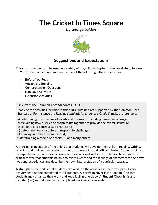*By George Selden*



### **Suggestions and Expectations**

This curriculum unit can be used in a variety of ways. Each chapter of the novel study focuses on 2 or 3 chapters and is comprised of five of the following different activities:

- Before You Read
- Vocabulary Building
- Comprehension Questions
- Language Activities
- Extension Activities

#### **Links with the Common Core Standards (U.S.)**

Many of the activities included in this curriculum unit are supported by the Common Core Standards. For instance the *Reading Standards for Literature, Grade 5*, makes reference to

- a) determining the meaning of words and phrases. . . including figurative language;
- b) explaining how a series of chapters fits together to provide the overall structure;
- c) compare and contrast two characters;
- d) determine how characters … respond to challenges;
- e) drawing inferences from the text;
- f) determining a theme of a story . . . **and many others.**

A principal expectation of the unit is that students will develop their skills in reading, writing, listening and oral communication, as well as in reasoning and critical thinking. Students will also be expected to provide clear answers to questions and well-constructed explanations. It is critical as well that students be able to relate events and the feelings of characters to their own lives and experiences and describe their own interpretation of a particular passage.

A strength of the unit is that students can work on the activities at their own pace. Every activity need not be completed by all students. A **portfolio cover** is included (p.7) so that students may organize their work and keep it all in one place. A **Student Checklist** is also included (p.6) so that a record of completed work may be recorded.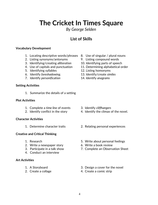*By George Selden*

### **List of Skills**

#### **Vocabulary Development**

- 1. Locating descriptive words/phrases 8. Use of singular / plural nouns
- 2. Listing synonyms/antonyms 9. Listing compound words
- 3. Identifying/creating *alliteration* 10. Identifying parts of speech
- 
- 5. Identifying syllables 12. Listing homonyms
- 6. Identify *foreshadowing*. 13. Identify/create *similes*
- 7. Identify *personification* 14. Identify *anagrams*

#### **Setting Activities**

1. Summarize the details of a setting

#### **Plot Activities**

- 1. Complete a *time line* of events 3. Identify *cliffhangers*
- 

#### **Character Activities**

#### **Creative and Critical Thinking**

- 
- 2. Write a newspaper story 6. Write a book review
- 
- 4. Conduct an interview

#### **Art Activities**

- 
- 
- 
- 
- 
- 4. Use of capitals and punctuation 11. Determining alphabetical order
	-
	-
	-

- 
- 2. Identify conflict in the story 4. Identify the climax of the novel.
- 1. Determine character traits 2. Relating personal experiences
- 1. Research 5. Write about personal feelings
	-
- 3. Participate in a talk show 7. Complete an Observation Sheet
- 1. A Storyboard 3. Design a cover for the novel
- 2. Create a collage 4. Create a comic strip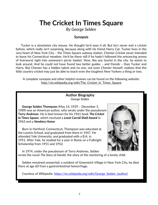*By George Selden*

### **Synopsis**

 Tucker is a streetwise city mouse. He thought he'd seen it all. But he's never met a cricket before, which really isn't surprising, because along with his friend Harry Cat, Tucker lives in the very heart of New York City – the Times Square subway station. Chester Cricket never intended to leave his Connecticut meadow. He'd be there still if he hadn't followed the entrancing aroma of liverwurst right into someone's picnic basket. Now, like any tourist in the city, he wants to look around. And he could not have found two better guides – and friends – than Tucker and Harry. But Chester has a hidden talent and no one, not even Chester himself, realizes that the little country cricket may just be able to teach even the toughest New Yorkers a thing or two.

A complete synopsis and other helpful reviews can be found on the following website: http://en.wikipedia.org/wiki/The Cricket In Times Square

### **Author Biography** *George Selden*

 **George Selden Thompson** (May 14, 1929 – December 5, 1989) was an American author, who wrote under the pseudonym **Terry Andrews**. He is best known for his 1961 book *The Cricket In Times Square*, which received a *Lewis Carroll Shelf Award* in 1963 and a *Newbery Honor*.

 Born in Hartford, Connecticut, Thompson was educated at the Loomis School, and graduated from there in 1947. He attended Yale University, and graduated with a B.A. in 1951. After Yale, he studied for a year in Rome on a Fulbright Scholarship from 1951 and 1952.



 In 1974, under the pseudonym of Terry Andrews, Selden wrote the novel *The Story of Harold,* the story of the mentoring of a lonely child.

 Selden remained unmarried; a resident of Greenwich Village in New York City, he died there at age 60 from a gastrointestinal hemorrhage.

Courtesy of Wikipedia. [https://en.wikipedia.org/wiki/George\\_Selden\\_\(author\)](https://en.wikipedia.org/wiki/George_Selden_(author))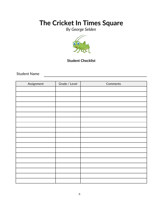*By George Selden*



### **Student Checklist**

<u> 1989 - Johann Barbara, martxa amerikan per</u>

Student Name

| Assignment | Grade / Level | Comments |
|------------|---------------|----------|
|            |               |          |
|            |               |          |
|            |               |          |
|            |               |          |
|            |               |          |
|            |               |          |
|            |               |          |
|            |               |          |
|            |               |          |
|            |               |          |
|            |               |          |
|            |               |          |
|            |               |          |
|            |               |          |
|            |               |          |
|            |               |          |
|            |               |          |
|            |               |          |
|            |               |          |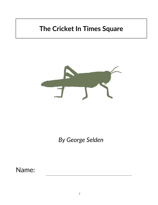

*By George Selden*

Name: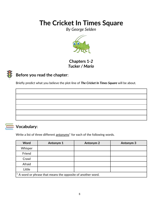*By George Selden*



**Chapters 1***-2 Tucker / Mario*

## **Before you read the chapter**:

Briefly predict what you believe the plot-line of *The Cricket In Times Square* will be about.



### **Vocabulary:**

Write a list of three different antonyms<sup>\*</sup> for each of the following words.

| <b>Word</b>                                                 | Antonym 1 | <b>Antonym 2</b> | <b>Antonym 3</b> |  |
|-------------------------------------------------------------|-----------|------------------|------------------|--|
| Whisper                                                     |           |                  |                  |  |
| Friend                                                      |           |                  |                  |  |
| Crawl                                                       |           |                  |                  |  |
| Afraid                                                      |           |                  |                  |  |
| Little                                                      |           |                  |                  |  |
| * A word or phrase that means the opposite of another word. |           |                  |                  |  |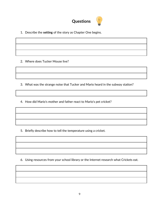

1. Describe the **setting** of the story as Chapter One begins.

2. Where does Tucker Mouse live?

3. What was the strange noise that Tucker and Mario heard in the subway station?

4. How did Mario's mother and father react to Mario's pet cricket?

5. Briefly describe how to tell the temperature using a cricket.

6. Using resources from your school library or the Internet research what Crickets eat.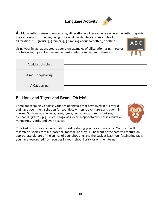## **Language Activity**



**A**. Many authors seem to enjoy using **alliteration –** a literary device where the author **r**epeats the same sound at the beginning of several words. Here's an example of an alliteration: ". . . **g**rousing, **g**rouching, **g**rumbling about something or other."

Using your imagination, create your own examples of **alliteration** using three of the following topics. Each example must contain a minimum of three words.

| A cricket chirping. |  |
|---------------------|--|
| A mouse squeaking.  |  |
| A Cat purring.      |  |

### **B. Lions and Tigers and Bears, Oh My!**

There are seemingly endless varieties of animals that have lived in our world, and have been the inspiration for countless writers, adventurers and even filmmakers. Such animals include; lions, tigers, bears, dogs, sheep, monkeys, elephants, giraffes, pigs, mice, kangaroos, deer, hippopotamus, horses, buffalo, rhinoceros, lizards, and even insects!



Your task is to create an information card featuring your favourite animal. Your card will resemble a sports card (i.e. baseball, football, hockey...). The front of the card will feature an appropriate picture of the animal of your choosing, and the back at least four fascinating facts you have researched from sources in your school library or on the Internet.

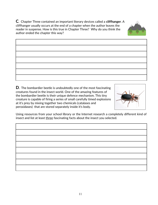**C**. Chapter Three contained an important literary devices called a **cliffhanger**. A cliffhanger usually occurs at the end of a chapter when the author leaves the reader in suspense. How is this true in Chapter Three? Why do you think the author ended the chapter this way?

**D.** The bombardier beetle is undoubtedly one of the most fascinating creatures found in the insect world. One of the amazing features of the bombardier beetle is their unique defence mechanism. This tiny creature is capable of firing a series of small carefully timed explosions at it's prey by mixing together two chemicals (catalases and peroxidases) that are stored separately inside it's body.

Using resources from your school library or the Internet research a completely different kind of insect and list at least three fascinating facts about the insect you selected.